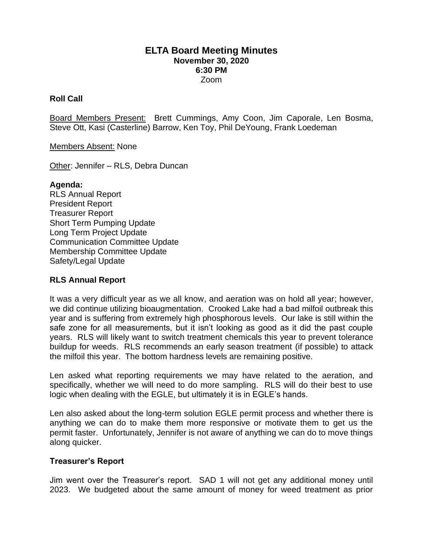## **ELTA Board Meeting Minutes November 30, 2020 6:30 PM** Zoom

### **Roll Call**

Board Members Present: Brett Cummings, Amy Coon, Jim Caporale, Len Bosma, Steve Ott, Kasi (Casterline) Barrow, Ken Toy, Phil DeYoung, Frank Loedeman

Members Absent: None

Other: Jennifer – RLS, Debra Duncan

#### **Agenda:**

RLS Annual Report President Report Treasurer Report Short Term Pumping Update Long Term Project Update Communication Committee Update Membership Committee Update Safety/Legal Update

### **RLS Annual Report**

It was a very difficult year as we all know, and aeration was on hold all year; however, we did continue utilizing bioaugmentation. Crooked Lake had a bad milfoil outbreak this year and is suffering from extremely high phosphorous levels. Our lake is still within the safe zone for all measurements, but it isn't looking as good as it did the past couple years. RLS will likely want to switch treatment chemicals this year to prevent tolerance buildup for weeds. RLS recommends an early season treatment (if possible) to attack the milfoil this year. The bottom hardness levels are remaining positive.

Len asked what reporting requirements we may have related to the aeration, and specifically, whether we will need to do more sampling. RLS will do their best to use logic when dealing with the EGLE, but ultimately it is in EGLE's hands.

Len also asked about the long-term solution EGLE permit process and whether there is anything we can do to make them more responsive or motivate them to get us the permit faster. Unfortunately, Jennifer is not aware of anything we can do to move things along quicker.

### **Treasurer's Report**

Jim went over the Treasurer's report. SAD 1 will not get any additional money until 2023. We budgeted about the same amount of money for weed treatment as prior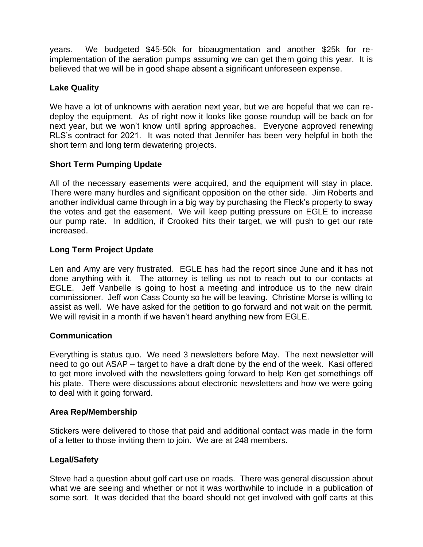years. We budgeted \$45-50k for bioaugmentation and another \$25k for reimplementation of the aeration pumps assuming we can get them going this year. It is believed that we will be in good shape absent a significant unforeseen expense.

# **Lake Quality**

We have a lot of unknowns with aeration next year, but we are hopeful that we can redeploy the equipment. As of right now it looks like goose roundup will be back on for next year, but we won't know until spring approaches. Everyone approved renewing RLS's contract for 2021. It was noted that Jennifer has been very helpful in both the short term and long term dewatering projects.

# **Short Term Pumping Update**

All of the necessary easements were acquired, and the equipment will stay in place. There were many hurdles and significant opposition on the other side. Jim Roberts and another individual came through in a big way by purchasing the Fleck's property to sway the votes and get the easement. We will keep putting pressure on EGLE to increase our pump rate. In addition, if Crooked hits their target, we will push to get our rate increased.

# **Long Term Project Update**

Len and Amy are very frustrated. EGLE has had the report since June and it has not done anything with it. The attorney is telling us not to reach out to our contacts at EGLE. Jeff Vanbelle is going to host a meeting and introduce us to the new drain commissioner. Jeff won Cass County so he will be leaving. Christine Morse is willing to assist as well. We have asked for the petition to go forward and not wait on the permit. We will revisit in a month if we haven't heard anything new from EGLE.

## **Communication**

Everything is status quo. We need 3 newsletters before May. The next newsletter will need to go out ASAP – target to have a draft done by the end of the week. Kasi offered to get more involved with the newsletters going forward to help Ken get somethings off his plate. There were discussions about electronic newsletters and how we were going to deal with it going forward.

### **Area Rep/Membership**

Stickers were delivered to those that paid and additional contact was made in the form of a letter to those inviting them to join. We are at 248 members.

## **Legal/Safety**

Steve had a question about golf cart use on roads. There was general discussion about what we are seeing and whether or not it was worthwhile to include in a publication of some sort. It was decided that the board should not get involved with golf carts at this